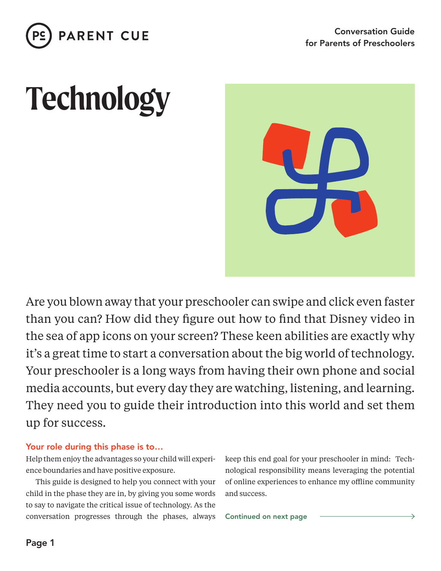

# **Technology**



Are you blown away that your preschooler can swipe and click even faster than you can? How did they figure out how to find that Disney video in the sea of app icons on your screen? These keen abilities are exactly why it's a great time to start a conversation about the big world of technology. Your preschooler is a long ways from having their own phone and social media accounts, but every day they are watching, listening, and learning. They need you to guide their introduction into this world and set them up for success.

#### Your role during this phase is to…

Help them enjoy the advantages so your child will experience boundaries and have positive exposure.

This guide is designed to help you connect with your child in the phase they are in, by giving you some words to say to navigate the critical issue of technology. As the conversation progresses through the phases, always keep this end goal for your preschooler in mind: Technological responsibility means leveraging the potential of online experiences to enhance my offline community and success.

Continued on next page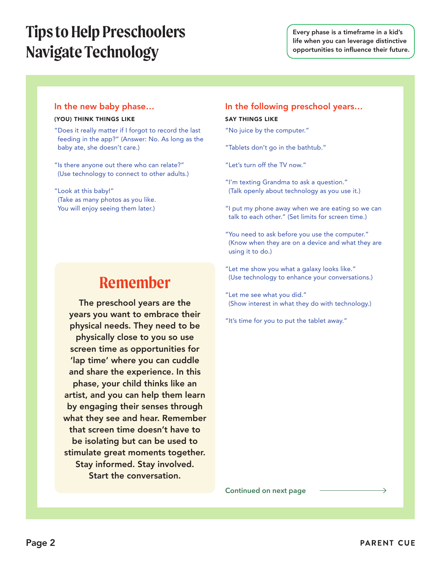## **Tips to Help Preschoolers Navigate Technology**

Every phase is a timeframe in a kid's life when you can leverage distinctive opportunities to influence their future.

#### In the new baby phase…

#### (YOU) THINK THINGS LIKE

- "Does it really matter if I forgot to record the last feeding in the app?" (Answer: No. As long as the baby ate, she doesn't care.)
- "Is there anyone out there who can relate?" (Use technology to connect to other adults.)

"Look at this baby!" (Take as many photos as you like. You will enjoy seeing them later.)

## **Remember**

The preschool years are the years you want to embrace their physical needs. They need to be physically close to you so use screen time as opportunities for 'lap time' where you can cuddle and share the experience. In this phase, your child thinks like an artist, and you can help them learn by engaging their senses through what they see and hear. Remember that screen time doesn't have to be isolating but can be used to stimulate great moments together. Stay informed. Stay involved. Start the conversation.

### In the following preschool years…

#### SAY THINGS LIKE

- "No juice by the computer."
- "Tablets don't go in the bathtub."
- "Let's turn off the TV now."
- "I'm texting Grandma to ask a question." (Talk openly about technology as you use it.)
- "I put my phone away when we are eating so we can talk to each other." (Set limits for screen time.)
- "You need to ask before you use the computer." (Know when they are on a device and what they are using it to do.)
- "Let me show you what a galaxy looks like." (Use technology to enhance your conversations.)
- "Let me see what you did." (Show interest in what they do with technology.)
- "It's time for you to put the tablet away."

**Continued on next page**